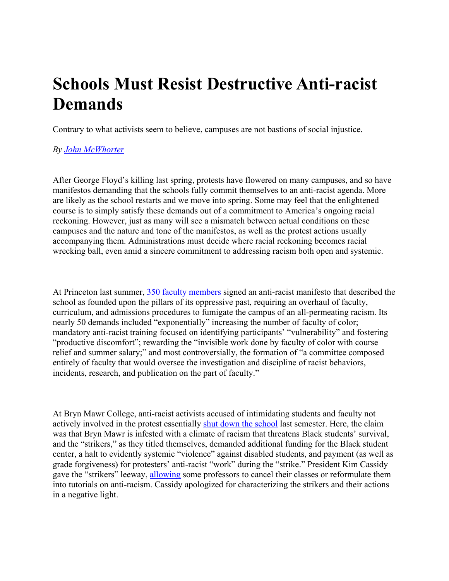## **Schools Must Resist Destructive Anti-racist Demands**

Contrary to what activists seem to believe, campuses are not bastions of social injustice.

## *By [John McWhorter](https://www.theatlantic.com/author/john-mcwhorter/)*

After George Floyd's killing last spring, protests have flowered on many campuses, and so have manifestos demanding that the schools fully commit themselves to an anti-racist agenda. More are likely as the school restarts and we move into spring. Some may feel that the enlightened course is to simply satisfy these demands out of a commitment to America's ongoing racial reckoning. However, just as many will see a mismatch between actual conditions on these campuses and the nature and tone of the manifestos, as well as the protest actions usually accompanying them. Administrations must decide where racial reckoning becomes racial wrecking ball, even amid a sincere commitment to addressing racism both open and systemic.

At Princeton last summer, [350 faculty members](https://docs.google.com/forms/d/e/1FAIpQLSfPmfeDKBi25_7rUTKkhZ3cyMICQicp05ReVaeBpEdYUCkyIA/viewform) signed an anti-racist manifesto that described the school as founded upon the pillars of its oppressive past, requiring an overhaul of faculty, curriculum, and admissions procedures to fumigate the campus of an all-permeating racism. Its nearly 50 demands included "exponentially" increasing the number of faculty of color; mandatory anti-racist training focused on identifying participants' "vulnerability" and fostering "productive discomfort"; rewarding the "invisible work done by faculty of color with course relief and summer salary;" and most controversially, the formation of "a committee composed entirely of faculty that would oversee the investigation and discipline of racist behaviors, incidents, research, and publication on the part of faculty."

At Bryn Mawr College, anti-racist activists accused of intimidating students and faculty not actively involved in the protest essentially [shut down the school](https://quillette.com/2020/12/27/a-student-mob-took-over-bryn-mawr-the-college-said-thank-you/) last semester. Here, the claim was that Bryn Mawr is infested with a climate of racism that threatens Black students' survival, and the "strikers," as they titled themselves, demanded additional funding for the Black student center, a halt to evidently systemic "violence" against disabled students, and payment (as well as grade forgiveness) for protesters' anti-racist "work" during the "strike." President Kim Cassidy gave the "strikers" leeway, [allowing](https://bicollegenews.com/2020/11/12/bryn-mawr-strike-collective-hosts-sit-ins-amidst-student-strike/) some professors to cancel their classes or reformulate them into tutorials on anti-racism. Cassidy apologized for characterizing the strikers and their actions in a negative light.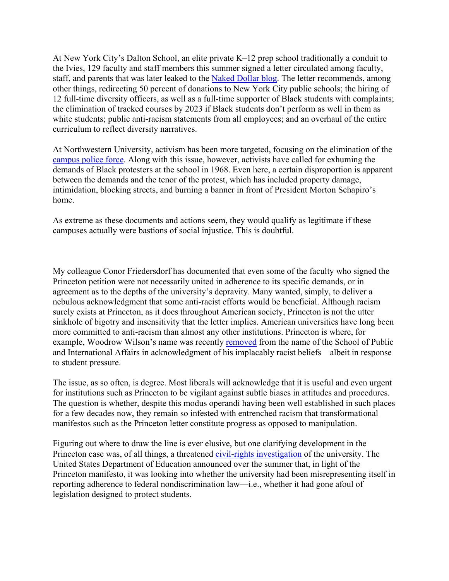At New York City's Dalton School, an elite private K–12 prep school traditionally a conduit to the Ivies, 129 faculty and staff members this summer signed a letter circulated among faculty, staff, and parents that was later leaked to the [Naked Dollar blog.](https://thenakeddollar.blogspot.com/2020/12/breaking-dalton-school-is-in-full.html) The letter recommends, among other things, redirecting 50 percent of donations to New York City public schools; the hiring of 12 full-time diversity officers, as well as a full-time supporter of Black students with complaints; the elimination of tracked courses by 2023 if Black students don't perform as well in them as white students; public anti-racism statements from all employees; and an overhaul of the entire curriculum to reflect diversity narratives.

At Northwestern University, activism has been more targeted, focusing on the elimination of the [campus police force.](https://www.wbez.org/stories/northwesterns-president-and-students-engage-in-heated-dispute-over-abolishing-campus-police/b08e0fcd-e9ed-4bea-bf83-216d4c1c46c9) Along with this issue, however, activists have called for exhuming the demands of Black protesters at the school in 1968. Even here, a certain disproportion is apparent between the demands and the tenor of the protest, which has included property damage, intimidation, blocking streets, and burning a banner in front of President Morton Schapiro's home.

As extreme as these documents and actions seem, they would qualify as legitimate if these campuses actually were bastions of social injustice. This is doubtful.

My colleague Conor Friedersdorf has documented that even some of the faculty who signed the Princeton petition were not necessarily united in adherence to its specific demands, or in agreement as to the depths of the university's depravity. Many wanted, simply, to deliver a nebulous acknowledgment that some anti-racist efforts would be beneficial. Although racism surely exists at Princeton, as it does throughout American society, Princeton is not the utter sinkhole of bigotry and insensitivity that the letter implies. American universities have long been more committed to anti-racism than almost any other institutions. Princeton is where, for example, Woodrow Wilson's name was recently [removed](https://www.npr.org/sections/live-updates-protests-for-racial-justice/2020/06/27/884310403/princeton-to-remove-woodrow-wilsons-name-from-public-policy-school) from the name of the School of Public and International Affairs in acknowledgment of his implacably racist beliefs—albeit in response to student pressure.

The issue, as so often, is degree. Most liberals will acknowledge that it is useful and even urgent for institutions such as Princeton to be vigilant against subtle biases in attitudes and procedures. The question is whether, despite this modus operandi having been well established in such places for a few decades now, they remain so infested with entrenched racism that transformational manifestos such as the Princeton letter constitute progress as opposed to manipulation.

Figuring out where to draw the line is ever elusive, but one clarifying development in the Princeton case was, of all things, a threatened [civil-rights investigation](https://www.nytimes.com/2020/09/17/us/princeton-racism-federal-investigation.html) of the university. The United States Department of Education announced over the summer that, in light of the Princeton manifesto, it was looking into whether the university had been misrepresenting itself in reporting adherence to federal nondiscrimination law—i.e., whether it had gone afoul of legislation designed to protect students.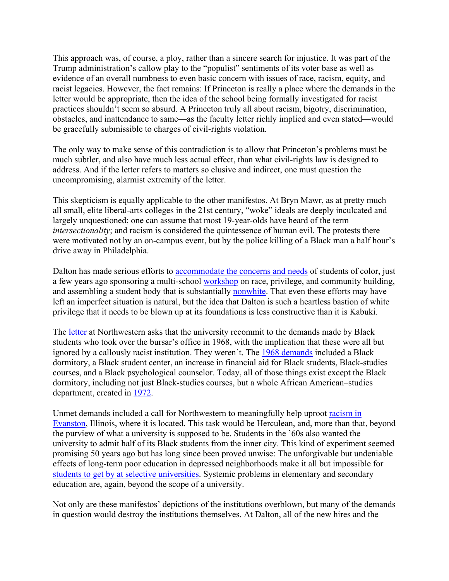This approach was, of course, a ploy, rather than a sincere search for injustice. It was part of the Trump administration's callow play to the "populist" sentiments of its voter base as well as evidence of an overall numbness to even basic concern with issues of race, racism, equity, and racist legacies. However, the fact remains: If Princeton is really a place where the demands in the letter would be appropriate, then the idea of the school being formally investigated for racist practices shouldn't seem so absurd. A Princeton truly all about racism, bigotry, discrimination, obstacles, and inattendance to same—as the faculty letter richly implied and even stated—would be gracefully submissible to charges of civil-rights violation.

The only way to make sense of this contradiction is to allow that Princeton's problems must be much subtler, and also have much less actual effect, than what civil-rights law is designed to address. And if the letter refers to matters so elusive and indirect, one must question the uncompromising, alarmist extremity of the letter.

This skepticism is equally applicable to the other manifestos. At Bryn Mawr, as at pretty much all small, elite liberal-arts colleges in the 21st century, "woke" ideals are deeply inculcated and largely unquestioned; one can assume that most 19-year-olds have heard of the term *intersectionality*; and racism is considered the quintessence of human evil. The protests there were motivated not by an on-campus event, but by the police killing of a Black man a half hour's drive away in Philadelphia.

Dalton has made serious efforts to [accommodate the concerns and needs](https://www.theatlantic.com/education/archive/2013/12/when-minority-students-attend-elite-private-schools/282416/) of students of color, just a few years ago sponsoring a multi-school [workshop](https://www.nytimes.com/2015/02/22/nyregion/at-new-york-private-schools-challenging-white-privilege-from-the-inside.html) on race, privilege, and community building, and assembling a student body that is substantially [nonwhite.](https://www.niche.com/k12/dalton-school-new-york-ny/students/) That even these efforts may have left an imperfect situation is natural, but the idea that Dalton is such a heartless bastion of white privilege that it needs to be blown up at its foundations is less constructive than it is Kabuki.

The [letter](https://dailynorthwestern.com/2020/06/10/campus/students-call-on-university-to-divest-from-police-forces-and-invest-in-black-communities/) at Northwestern asks that the university recommit to the demands made by Black students who took over the bursar's office in 1968, with the implication that these were all but ignored by a callously racist institution. They weren't. The [1968 demands](https://sites.northwestern.edu/bursars1968/history/resultsandresponses/) included a Black dormitory, a Black student center, an increase in financial aid for Black students, Black-studies courses, and a Black psychological counselor. Today, all of those things exist except the Black dormitory, including not just Black-studies courses, but a whole African American–studies department, created in [1972.](https://afam.northwestern.edu/about/department-history.html)

Unmet demands included a call for Northwestern to meaningfully help uproot [racism in](https://cpb-us-e1.wpmucdn.com/sites.northwestern.edu/dist/a/2051/files/2017/06/Black-Student-Statement-and-Petition_April-22-1968-1xrj4yj.pdf)  [Evanston,](https://cpb-us-e1.wpmucdn.com/sites.northwestern.edu/dist/a/2051/files/2017/06/Black-Student-Statement-and-Petition_April-22-1968-1xrj4yj.pdf) Illinois, where it is located. This task would be Herculean, and, more than that, beyond the purview of what a university is supposed to be. Students in the '60s also wanted the university to admit half of its Black students from the inner city. This kind of experiment seemed promising 50 years ago but has long since been proved unwise: The unforgivable but undeniable effects of long-term poor education in depressed neighborhoods make it all but impossible for [students to get by at selective universities.](https://www.theatlantic.com/education/archive/2019/03/privileged-poor-navigating-elite-university-life/585100/) Systemic problems in elementary and secondary education are, again, beyond the scope of a university.

Not only are these manifestos' depictions of the institutions overblown, but many of the demands in question would destroy the institutions themselves. At Dalton, all of the new hires and the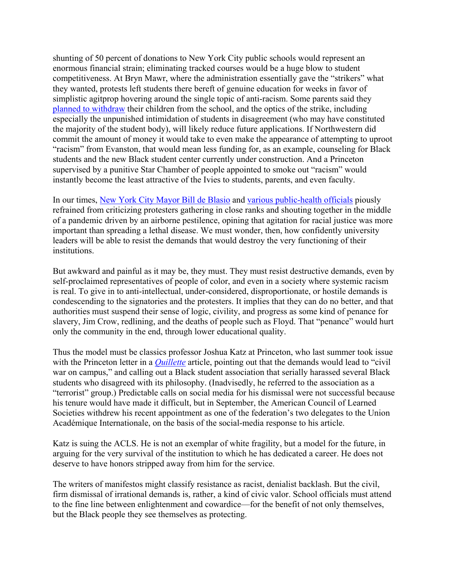shunting of 50 percent of donations to New York City public schools would represent an enormous financial strain; eliminating tracked courses would be a huge blow to student competitiveness. At Bryn Mawr, where the administration essentially gave the "strikers" what they wanted, protests left students there bereft of genuine education for weeks in favor of simplistic agitprop hovering around the single topic of anti-racism. Some parents said they [planned to withdraw](https://quillette.com/2020/12/27/a-student-mob-took-over-bryn-mawr-the-college-said-thank-you/) their children from the school, and the optics of the strike, including especially the unpunished intimidation of students in disagreement (who may have constituted the majority of the student body), will likely reduce future applications. If Northwestern did commit the amount of money it would take to even make the appearance of attempting to uproot "racism" from Evanston, that would mean less funding for, as an example, counseling for Black students and the new Black student center currently under construction. And a Princeton supervised by a punitive Star Chamber of people appointed to smoke out "racism" would instantly become the least attractive of the Ivies to students, parents, and even faculty.

In our times, [New York City Mayor Bill de Blasio](https://news.yahoo.com/blasio-black-lives-matter-protests-115502505.html) and [various public-health officials](https://www.nytimes.com/2020/07/06/us/Epidemiologists-coronavirus-protests-quarantine.html) piously refrained from criticizing protesters gathering in close ranks and shouting together in the middle of a pandemic driven by an airborne pestilence, opining that agitation for racial justice was more important than spreading a lethal disease. We must wonder, then, how confidently university leaders will be able to resist the demands that would destroy the very functioning of their institutions.

But awkward and painful as it may be, they must. They must resist destructive demands, even by self-proclaimed representatives of people of color, and even in a society where systemic racism is real. To give in to anti-intellectual, under-considered, disproportionate, or hostile demands is condescending to the signatories and the protesters. It implies that they can do no better, and that authorities must suspend their sense of logic, civility, and progress as some kind of penance for slavery, Jim Crow, redlining, and the deaths of people such as Floyd. That "penance" would hurt only the community in the end, through lower educational quality.

Thus the model must be classics professor Joshua Katz at Princeton, who last summer took issue with the Princeton letter in a *[Quillette](https://quillette.com/2020/07/08/a-declaration-of-independence-by-a-princeton-professor/)* article, pointing out that the demands would lead to "civil war on campus," and calling out a Black student association that serially harassed several Black students who disagreed with its philosophy. (Inadvisedly, he referred to the association as a "terrorist" group.) Predictable calls on social media for his dismissal were not successful because his tenure would have made it difficult, but in September, the American Council of Learned Societies withdrew his recent appointment as one of the federation's two delegates to the Union Académique Internationale, on the basis of the social-media response to his article.

Katz is suing the ACLS. He is not an exemplar of white fragility, but a model for the future, in arguing for the very survival of the institution to which he has dedicated a career. He does not deserve to have honors stripped away from him for the service.

The writers of manifestos might classify resistance as racist, denialist backlash. But the civil, firm dismissal of irrational demands is, rather, a kind of civic valor. School officials must attend to the fine line between enlightenment and cowardice—for the benefit of not only themselves, but the Black people they see themselves as protecting.